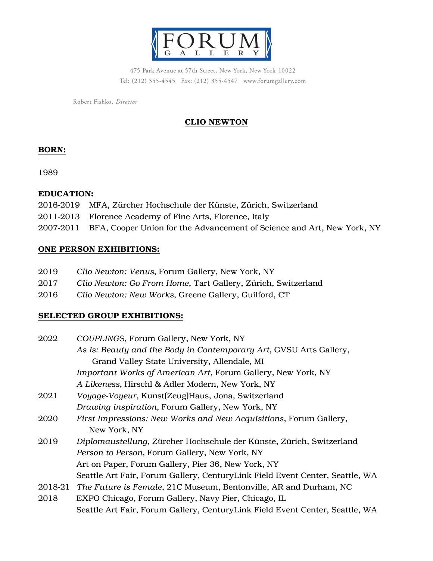

475 Park Avenue at 57th Street, New York, New York 10022 Tel: (212) 355-4545 Fax: (212) 355-4547 www.forumgallery.com

Robert Fishko, Director

# CLIO NEWTON

## BORN:

1989

### EDUCATION:

- 2016-2019 MFA, Zürcher Hochschule der Künste, Zürich, Switzerland
- 2011-2013 Florence Academy of Fine Arts, Florence, Italy
- 2007-2011 BFA, Cooper Union for the Advancement of Science and Art, New York, NY

# ONE PERSON EXHIBITIONS:

- 2019 *Clio Newton: Venus*, Forum Gallery, New York, NY
- 2017 *Clio Newton: Go From Home*, Tart Gallery, Zürich, Switzerland
- 2016 *Clio Newton: New Works*, Greene Gallery, Guilford, CT

## SELECTED GROUP EXHIBITIONS:

2022 *COUPLINGS*, Forum Gallery, New York, NY *As Is: Beauty and the Body in Contemporary Art*, GVSU Arts Gallery, Grand Valley State University, Allendale, MI *Important Works of American Art*, Forum Gallery, New York, NY *A Likeness*, Hirschl & Adler Modern, New York, NY 2021 *Voyage-Voyeur*, Kunst(Zeug)Haus, Jona, Switzerland *Drawing inspiration*, Forum Gallery, New York, NY 2020 *First Impressions: New Works and New Acquisitions*, Forum Gallery, New York, NY 2019 *Diplomaustellung*, Zürcher Hochschule der Künste, Zürich, Switzerland *Person to Person*, Forum Gallery, New York, NY Art on Paper, Forum Gallery, Pier 36, New York, NY Seattle Art Fair, Forum Gallery, CenturyLink Field Event Center, Seattle, WA 2018-21 *The Future is Female*, 21C Museum, Bentonville, AR and Durham, NC 2018 EXPO Chicago, Forum Gallery, Navy Pier, Chicago, IL Seattle Art Fair, Forum Gallery, CenturyLink Field Event Center, Seattle, WA